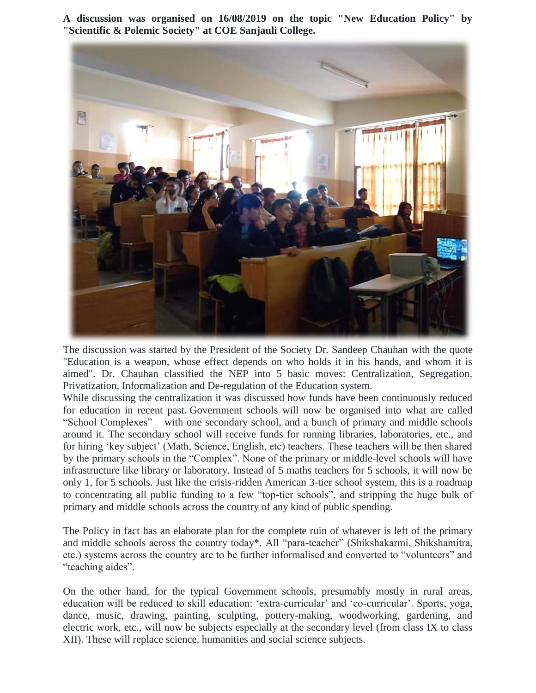**A discussion was organised on 16/08/2019 on the topic "New Education Policy" by "Scientific & Polemic Society" at COE Sanjauli College.**



The discussion was started by the President of the Society Dr. Sandeep Chauhan with the quote "Education is a weapon, whose effect depends on who holds it in his hands, and whom it is aimed". Dr. Chauhan classified the NEP into 5 basic moves: Centralization, Segregation, Privatization, Informalization and De-regulation of the Education system.

While discussing the centralization it was discussed how funds have been continuously reduced for education in recent past. Government schools will now be organised into what are called "School Complexes" – with one secondary school, and a bunch of primary and middle schools around it. The secondary school will receive funds for running libraries, laboratories, etc., and for hiring "key subject" (Math, Science, English, etc) teachers. These teachers will be then shared by the primary schools in the "Complex". None of the primary or middle-level schools will have infrastructure like library or laboratory. Instead of 5 maths teachers for 5 schools, it will now be only 1, for 5 schools. Just like the crisis-ridden American 3-tier school system, this is a roadmap to concentrating all public funding to a few "top-tier schools", and stripping the huge bulk of primary and middle schools across the country of any kind of public spending.

The Policy in fact has an elaborate plan for the complete ruin of whatever is left of the primary and middle schools across the country today\*. All "para-teacher" (Shikshakarmi, Shikshamitra, etc.) systems across the country are to be further informalised and converted to "volunteers" and "teaching aides".

On the other hand, for the typical Government schools, presumably mostly in rural areas, education will be reduced to skill education: 'extra-curricular' and 'co-curricular'. Sports, yoga, dance, music, drawing, painting, sculpting, pottery-making, woodworking, gardening, and electric work, etc., will now be subjects especially at the secondary level (from class IX to class XII). These will replace science, humanities and social science subjects.